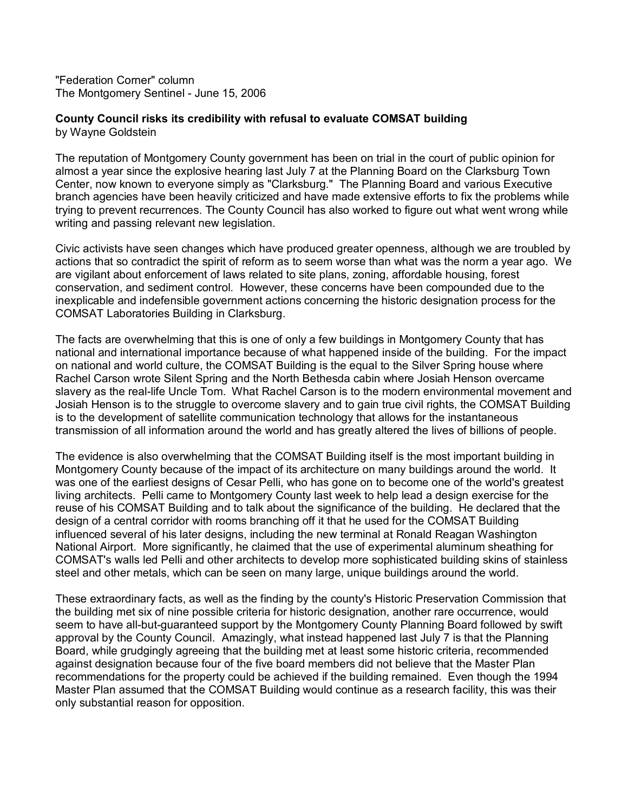"Federation Corner" column The Montgomery Sentinel - June 15, 2006

## **County Council risks its credibility with refusal to evaluate COMSAT building** by Wayne Goldstein

The reputation of Montgomery County government has been on trial in the court of public opinion for almost a year since the explosive hearing last July 7 at the Planning Board on the Clarksburg Town Center, now known to everyone simply as "Clarksburg." The Planning Board and various Executive branch agencies have been heavily criticized and have made extensive efforts to fix the problems while trying to prevent recurrences. The County Council has also worked to figure out what went wrong while writing and passing relevant new legislation.

Civic activists have seen changes which have produced greater openness, although we are troubled by actions that so contradict the spirit of reform as to seem worse than what was the norm a year ago. We are vigilant about enforcement of laws related to site plans, zoning, affordable housing, forest conservation, and sediment control. However, these concerns have been compounded due to the inexplicable and indefensible government actions concerning the historic designation process for the COMSAT Laboratories Building in Clarksburg.

The facts are overwhelming that this is one of only a few buildings in Montgomery County that has national and international importance because of what happened inside of the building. For the impact on national and world culture, the COMSAT Building is the equal to the Silver Spring house where Rachel Carson wrote Silent Spring and the North Bethesda cabin where Josiah Henson overcame slavery as the real-life Uncle Tom. What Rachel Carson is to the modern environmental movement and Josiah Henson is to the struggle to overcome slavery and to gain true civil rights, the COMSAT Building is to the development of satellite communication technology that allows for the instantaneous transmission of all information around the world and has greatly altered the lives of billions of people.

The evidence is also overwhelming that the COMSAT Building itself is the most important building in Montgomery County because of the impact of its architecture on many buildings around the world. It was one of the earliest designs of Cesar Pelli, who has gone on to become one of the world's greatest living architects. Pelli came to Montgomery County last week to help lead a design exercise for the reuse of his COMSAT Building and to talk about the significance of the building. He declared that the design of a central corridor with rooms branching off it that he used for the COMSAT Building influenced several of his later designs, including the new terminal at Ronald Reagan Washington National Airport. More significantly, he claimed that the use of experimental aluminum sheathing for COMSAT's walls led Pelli and other architects to develop more sophisticated building skins of stainless steel and other metals, which can be seen on many large, unique buildings around the world.

These extraordinary facts, as well as the finding by the county's Historic Preservation Commission that the building met six of nine possible criteria for historic designation, another rare occurrence, would seem to have all-but-guaranteed support by the Montgomery County Planning Board followed by swift approval by the County Council. Amazingly, what instead happened last July 7 is that the Planning Board, while grudgingly agreeing that the building met at least some historic criteria, recommended against designation because four of the five board members did not believe that the Master Plan recommendations for the property could be achieved if the building remained. Even though the 1994 Master Plan assumed that the COMSAT Building would continue as a research facility, this was their only substantial reason for opposition.